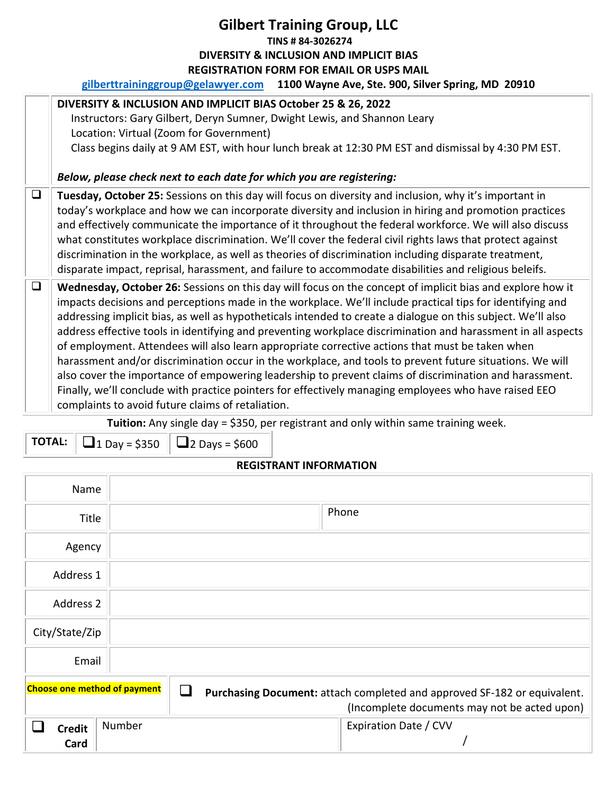## **Gilbert Training Group, LLC TINS # 84-3026274 DIVERSITY & INCLUSION AND IMPLICIT BIAS REGISTRATION FORM FOR EMAIL OR USPS MAIL**

**gilberttraininggroup@gelawyer.com 1100 Wayne Ave, Ste. 900, Silver Spring, MD 20910** 

|        | DIVERSITY & INCLUSION AND IMPLICIT BIAS October 25 & 26, 2022                                                |  |  |  |  |
|--------|--------------------------------------------------------------------------------------------------------------|--|--|--|--|
|        | Instructors: Gary Gilbert, Deryn Sumner, Dwight Lewis, and Shannon Leary                                     |  |  |  |  |
|        | Location: Virtual (Zoom for Government)                                                                      |  |  |  |  |
|        | Class begins daily at 9 AM EST, with hour lunch break at 12:30 PM EST and dismissal by 4:30 PM EST.          |  |  |  |  |
|        |                                                                                                              |  |  |  |  |
|        | Below, please check next to each date for which you are registering:                                         |  |  |  |  |
| $\Box$ | Tuesday, October 25: Sessions on this day will focus on diversity and inclusion, why it's important in       |  |  |  |  |
|        | today's workplace and how we can incorporate diversity and inclusion in hiring and promotion practices       |  |  |  |  |
|        | and effectively communicate the importance of it throughout the federal workforce. We will also discuss      |  |  |  |  |
|        | what constitutes workplace discrimination. We'll cover the federal civil rights laws that protect against    |  |  |  |  |
|        | discrimination in the workplace, as well as theories of discrimination including disparate treatment,        |  |  |  |  |
|        | disparate impact, reprisal, harassment, and failure to accommodate disabilities and religious beleifs.       |  |  |  |  |
| $\Box$ | Wednesday, October 26: Sessions on this day will focus on the concept of implicit bias and explore how it    |  |  |  |  |
|        | impacts decisions and perceptions made in the workplace. We'll include practical tips for identifying and    |  |  |  |  |
|        | addressing implicit bias, as well as hypotheticals intended to create a dialogue on this subject. We'll also |  |  |  |  |
|        | address effective tools in identifying and preventing workplace discrimination and harassment in all aspects |  |  |  |  |
|        | of employment. Attendees will also learn appropriate corrective actions that must be taken when              |  |  |  |  |
|        | harassment and/or discrimination occur in the workplace, and tools to prevent future situations. We will     |  |  |  |  |
|        | also cover the importance of empowering leadership to prevent claims of discrimination and harassment.       |  |  |  |  |
|        | Finally, we'll conclude with practice pointers for effectively managing employees who have raised EEO        |  |  |  |  |
|        | complaints to avoid future claims of retaliation.                                                            |  |  |  |  |

**Tuition:** Any single day = \$350, per registrant and only within same training week.

**TOTAL:**  $\boxed{ \square_1 \square_{\text{0y}}} = $350 \square_2 \square_{\text{0y}} = $600$ 

## **REGISTRANT INFORMATION**

| Name                                |        |                                                                                                                          |
|-------------------------------------|--------|--------------------------------------------------------------------------------------------------------------------------|
| <b>Title</b>                        |        | Phone                                                                                                                    |
| Agency                              |        |                                                                                                                          |
| Address 1                           |        |                                                                                                                          |
| Address 2                           |        |                                                                                                                          |
| City/State/Zip                      |        |                                                                                                                          |
| Email                               |        |                                                                                                                          |
| <b>Choose one method of payment</b> |        | Purchasing Document: attach completed and approved SF-182 or equivalent.<br>(Incomplete documents may not be acted upon) |
| <b>Credit</b><br>Card               | Number | Expiration Date / CVV                                                                                                    |